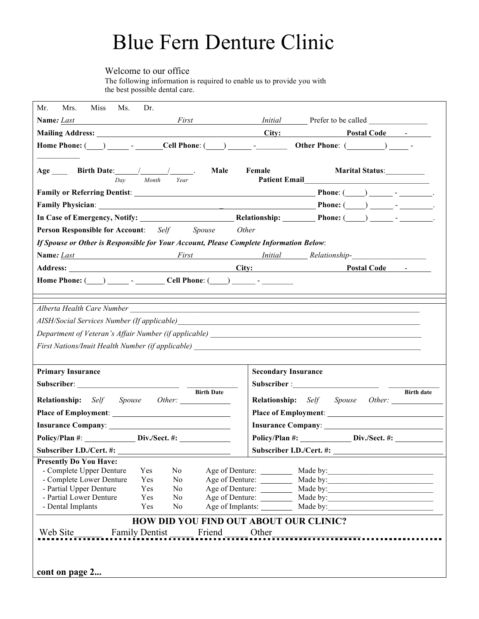# Blue Fern Denture Clinic

Welcome to our office

The following information is required to enable us to provide you with the best possible dental care.

| Mr.<br>Mrs.<br><b>Miss</b><br>Ms.<br>Dr.                                                   |                                                              |  |  |  |
|--------------------------------------------------------------------------------------------|--------------------------------------------------------------|--|--|--|
| <b>Name:</b> Last<br><i>First</i>                                                          |                                                              |  |  |  |
|                                                                                            | City:<br><b>Postal Code</b> -                                |  |  |  |
| Home Phone: $(\ )$ - Cell Phone: $(\ )$ - Other Phone: $(\ )$ -                            |                                                              |  |  |  |
|                                                                                            |                                                              |  |  |  |
| Age _______ Birth Date: _________________________________.<br>Male<br>Day<br>Month<br>Year | Female<br>Marital Status:___________<br><b>Patient Email</b> |  |  |  |
|                                                                                            |                                                              |  |  |  |
|                                                                                            |                                                              |  |  |  |
|                                                                                            |                                                              |  |  |  |
| <b>Person Responsible for Account:</b> Self Spouse                                         | Other                                                        |  |  |  |
| If Spouse or Other is Responsible for Your Account, Please Complete Information Below:     |                                                              |  |  |  |
|                                                                                            | <b>Name:</b> Last First <i>First Initial Relationship-</i>   |  |  |  |
|                                                                                            | Postal Code -                                                |  |  |  |
|                                                                                            |                                                              |  |  |  |
|                                                                                            |                                                              |  |  |  |
|                                                                                            |                                                              |  |  |  |
|                                                                                            |                                                              |  |  |  |
|                                                                                            |                                                              |  |  |  |
| First Nations/Inuit Health Number (if applicable) _______________________________          |                                                              |  |  |  |
|                                                                                            |                                                              |  |  |  |
| <b>Primary Insurance</b>                                                                   | <b>Secondary Insurance</b>                                   |  |  |  |
|                                                                                            |                                                              |  |  |  |
| <b>Birth Date</b>                                                                          | <b>Birth date</b>                                            |  |  |  |
| Relationship: Self Spouse                                                                  |                                                              |  |  |  |
| <b>Place of Employment:</b>                                                                |                                                              |  |  |  |
| <b>Insurance Company:</b>                                                                  | Insurance Company: No. 1996. The Company:                    |  |  |  |
| Policy/Plan #: Div./Sect. #:                                                               | Policy/Plan #: Div./Sect. #:                                 |  |  |  |
| Subscriber I.D./Cert. #:                                                                   | Subscriber I.D./Cert. #:                                     |  |  |  |
| <b>Presently Do You Have:</b><br>- Complete Upper Denture<br>Yes<br>N <sub>0</sub>         | Age of Denture: Made by: Made by:                            |  |  |  |
| - Complete Lower Denture<br>Yes<br>No                                                      | Age of Denture: Made by: Made by:                            |  |  |  |
| - Partial Upper Denture<br>Yes<br>N <sub>0</sub>                                           |                                                              |  |  |  |
| - Partial Lower Denture<br>Yes<br>N <sub>0</sub>                                           | Age of Denture: _________                                    |  |  |  |
| - Dental Implants<br>N <sub>o</sub><br>Yes                                                 |                                                              |  |  |  |
| HOW DID YOU FIND OUT ABOUT OUR CLINIC?                                                     |                                                              |  |  |  |
| Web Site<br><b>Family Dentist</b><br>Friend v                                              |                                                              |  |  |  |
|                                                                                            |                                                              |  |  |  |
|                                                                                            |                                                              |  |  |  |
| cont on page 2                                                                             |                                                              |  |  |  |
|                                                                                            |                                                              |  |  |  |